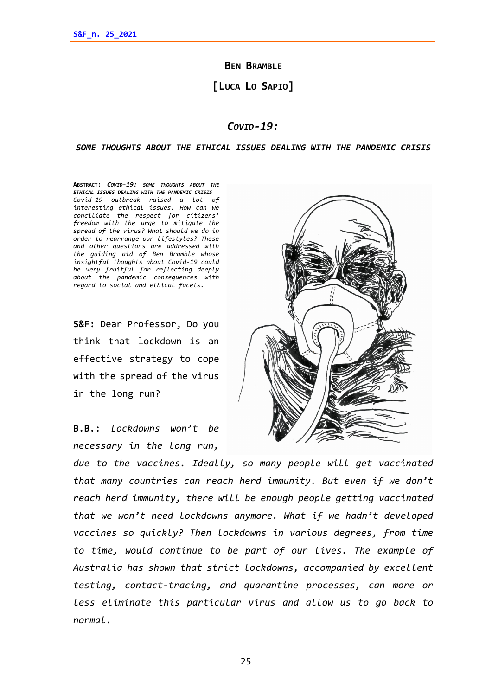**BEN BRAMBLE**

**[LUCA LO SAPIO]**

## *COVID-19:*

## *SOME THOUGHTS ABOUT THE ETHICAL ISSUES DEALING WITH THE PANDEMIC CRISIS*

**ABSTRACT:** *COVID-19: SOME THOUGHTS ABOUT THE ETHICAL ISSUES DEALING WITH THE PANDEMIC CRISIS Covid-19 outbreak raised a lot of interesting ethical issues. How can we conciliate the respect for citizens' freedom with the urge to mitigate the spread of the virus? What should we do in order to rearrange our lifestyles? These and other questions are addressed with the guiding aid of Ben Bramble whose insightful thoughts about Covid-19 could be very fruitful for reflecting deeply about the pandemic consequences with regard to social and ethical facets.* 

**S&F:** Dear Professor, Do you think that lockdown is an effective strategy to cope with the spread of the virus in the long run?

**B.B.:** *Lockdowns won't be necessary in the long run,* 



*due to the vaccines. Ideally, so many people will get vaccinated that many countries can reach herd immunity. But even if we don't reach herd immunity, there will be enough people getting vaccinated that we won't need lockdowns anymore. What if we hadn't developed vaccines so quickly? Then lockdowns in various degrees, from time to time, would continue to be part of our lives. The example of Australia has shown that strict lockdowns, accompanied by excellent testing, contact-tracing, and quarantine processes, can more or less eliminate this particular virus and allow us to go back to normal.*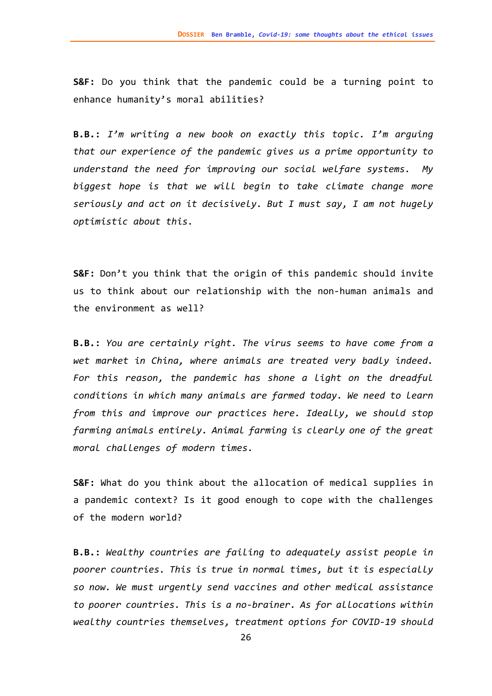**S&F:** Do you think that the pandemic could be a turning point to enhance humanity's moral abilities?

**B.B.:** *I'm writing a new book on exactly this topic. I'm arguing that our experience of the pandemic gives us a prime opportunity to understand the need for improving our social welfare systems. My biggest hope is that we will begin to take climate change more seriously and act on it decisively. But I must say, I am not hugely optimistic about this.*

**S&F:** Don't you think that the origin of this pandemic should invite us to think about our relationship with the non-human animals and the environment as well?

**B.B.:** *You are certainly right. The virus seems to have come from a wet market in China, where animals are treated very badly indeed. For this reason, the pandemic has shone a light on the dreadful conditions in which many animals are farmed today. We need to learn from this and improve our practices here. Ideally, we should stop farming animals entirely. Animal farming is clearly one of the great moral challenges of modern times.*

**S&F:** What do you think about the allocation of medical supplies in a pandemic context? Is it good enough to cope with the challenges of the modern world?

**B.B.:** *Wealthy countries are failing to adequately assist people in poorer countries. This is true in normal times, but it is especially so now. We must urgently send vaccines and other medical assistance to poorer countries. This is a no-brainer. As for allocations within wealthy countries themselves, treatment options for COVID-19 should*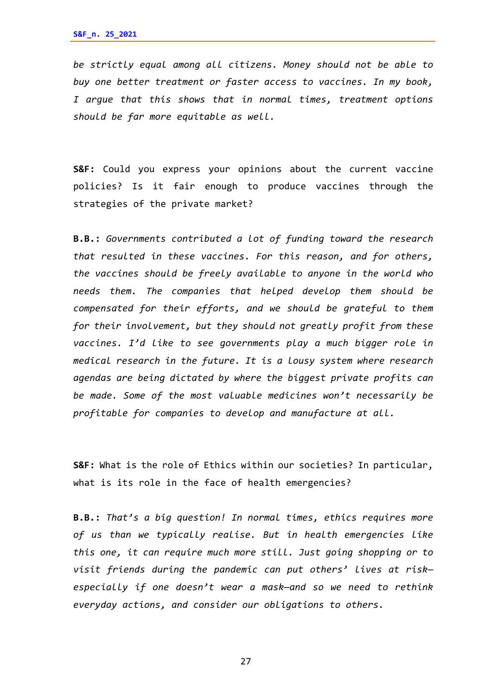*be strictly equal among all citizens. Money should not be able to buy one better treatment or faster access to vaccines. In my book, I argue that this shows that in normal times, treatment options should be far more equitable as well.*

**S&F:** Could you express your opinions about the current vaccine policies? Is it fair enough to produce vaccines through the strategies of the private market?

**B.B.:** *Governments contributed a lot of funding toward the research that resulted in these vaccines. For this reason, and for others, the vaccines should be freely available to anyone in the world who needs them. The companies that helped develop them should be compensated for their efforts, and we should be grateful to them for their involvement, but they should not greatly profit from these vaccines. I'd like to see governments play a much bigger role in medical research in the future. It is a lousy system where research agendas are being dictated by where the biggest private profits can be made. Some of the most valuable medicines won't necessarily be profitable for companies to develop and manufacture at all.*

**S&F:** What is the role of Ethics within our societies? In particular, what is its role in the face of health emergencies?

**B.B.:** *That's a big question! In normal times, ethics requires more of us than we typically realise. But in health emergencies like this one, it can require much more still. Just going shopping or to visit friends during the pandemic can put others' lives at risk especially if one doesn't wear a mask—and so we need to rethink everyday actions, and consider our obligations to others.*

27